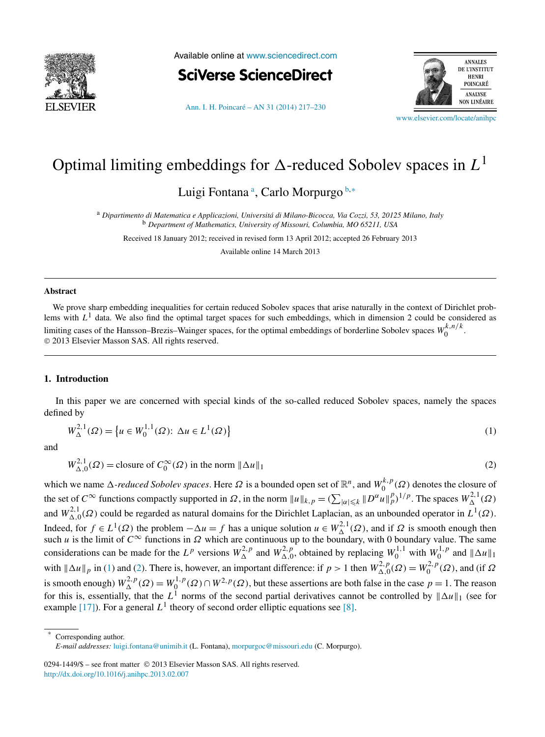<span id="page-0-0"></span>

Available online at [www.sciencedirect.com](http://www.sciencedirect.com)



[Ann. I. H. Poincaré – AN 31 \(2014\) 217–230](http://dx.doi.org/10.1016/j.anihpc.2013.02.007)



[www.elsevier.com/locate/anihpc](http://www.elsevier.com/locate/anihpc)

# Optimal limiting embeddings for  $\Delta$ -reduced Sobolev spaces in  $L^1$

Luigi Fontana<sup>a</sup>, Carlo Morpurgo<sup>b,∗</sup>

<sup>a</sup> *Dipartimento di Matematica e Applicazioni, Universitá di Milano-Bicocca, Via Cozzi, 53, 20125 Milano, Italy* <sup>b</sup> *Department of Mathematics, University of Missouri, Columbia, MO 65211, USA*

Received 18 January 2012; received in revised form 13 April 2012; accepted 26 February 2013

Available online 14 March 2013

#### **Abstract**

We prove sharp embedding inequalities for certain reduced Sobolev spaces that arise naturally in the context of Dirichlet problems with  $L<sup>1</sup>$  data. We also find the optimal target spaces for such embeddings, which in dimension 2 could be considered as limiting cases of the Hansson–Brezis–Wainger spaces, for the optimal embeddings of borderline Sobolev spaces  $W_0^{k,n/k}$ . © 2013 Elsevier Masson SAS. All rights reserved.

### **1. Introduction**

In this paper we are concerned with special kinds of the so-called reduced Sobolev spaces, namely the spaces defined by

$$
W_{\Delta}^{2,1}(\Omega) = \left\{ u \in W_0^{1,1}(\Omega) : \Delta u \in L^1(\Omega) \right\}
$$
 (1)

and

 $W^{2,1}_{\Delta,0}(\Omega) = \text{closure of } C_0^{\infty}(\Omega) \text{ in the norm } || \Delta$ 

 $u \|_1$  (2)

*which we name Δ-reduced Sobolev spaces.* Here Ω is a bounded open set of  $\mathbb{R}^n$ , and  $W_0^{k,p}(\Omega)$  denotes the closure of the set of  $C^{\infty}$  functions compactly supported in  $\Omega$ , in the norm  $||u||_{k,p} = (\sum_{|\alpha| \leq k} ||D^{\alpha}u||_p^p)^{1/p}$ . The spaces  $W_{\Delta}^{2,1}(\Omega)$ and  $W_{\Delta,0}^{2,1}(\Omega)$  could be regarded as natural domains for the Dirichlet Laplacian, as an unbounded operator in  $L^1(\Omega)$ . Indeed, for *f* ∈ *L*<sup>1</sup>( $Ω$ ) the problem  $-Δu = f$  has a unique solution  $u ∈ W_Δ^{2,1}(Ω)$ , and if  $Ω$  is smooth enough then such *u* is the limit of  $C^{\infty}$  functions in  $\Omega$  which are continuous up to the boundary, with 0 boundary value. The same considerations can be made for the  $L^p$  versions  $W_{\Delta}^{2,p}$  and  $W_{\Delta,0}^{2,p}$ , obtained by replacing  $W_0^{1,1}$  with  $W_0^{1,p}$  and  $\|\Delta u\|_1$ with  $\|\Delta u\|_p$  in (1) and (2). There is, however, an important difference: if  $p > 1$  then  $W^{2,p}_{\Delta,0}(\Omega) = W^{2,p}_0(\Omega)$ , and (if  $\Omega$ ) is smooth enough)  $W^{2,p}_\Delta(\Omega) = W^{1,p}_0(\Omega) \cap W^{2,p}(\Omega)$ , but these assertions are both false in the case  $p = 1$ . The reason for this is, essentially, that the  $L^1$  norms of the second partial derivatives cannot be controlled by  $\|\Delta u\|_1$  (see for example [\[17\]\)](#page-13-0). For a general  $L^1$  theory of second order elliptic equations see [\[8\].](#page-13-0)

Corresponding author.

0294-1449/\$ – see front matter © 2013 Elsevier Masson SAS. All rights reserved. <http://dx.doi.org/10.1016/j.anihpc.2013.02.007>

*E-mail addresses:* [luigi.fontana@unimib.it](mailto:luigi.fontana@unimib.it) (L. Fontana), [morpurgoc@missouri.edu](mailto:morpurgoc@missouri.edu) (C. Morpurgo).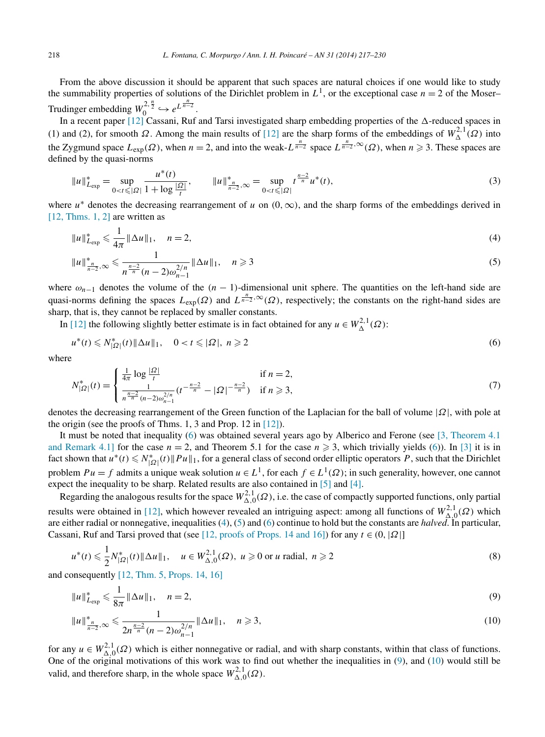<span id="page-1-0"></span>From the above discussion it should be apparent that such spaces are natural choices if one would like to study the summability properties of solutions of the Dirichlet problem in  $L^1$ , or the exceptional case  $n = 2$  of the Moser– Trudinger embedding  $W_0^{2, \frac{n}{2}} \hookrightarrow e^{L^{\frac{n}{n-2}}}.$ 

In a recent paper  $[12]$  Cassani, Ruf and Tarsi investigated sharp embedding properties of the  $\Delta$ -reduced spaces in (1) and (2), for smooth  $\Omega$ . Among the main results of [\[12\]](#page-13-0) are the sharp forms of the embeddings of  $W^{2,1}_{\Delta}(\Omega)$  into the Zygmund space  $L_{exp}(\Omega)$ , when  $n = 2$ , and into the weak- $L^{\frac{n}{n-2}}$  space  $L^{\frac{n}{n-2}}$ ,  $\infty(\Omega)$ , when  $n \ge 3$ . These spaces are defined by the quasi-norms

$$
||u||_{L_{exp}}^{*} = \sup_{0 < t \leq |\Omega|} \frac{u^{*}(t)}{1 + \log \frac{|\Omega|}{t}}, \qquad ||u||_{\frac{n}{n-2}, \infty}^{*} = \sup_{0 < t \leq |\Omega|} t^{\frac{n-2}{n}} u^{*}(t), \tag{3}
$$

where  $u^*$  denotes the decreasing rearrangement of *u* on  $(0, \infty)$ , and the sharp forms of the embeddings derived in [\[12, Thms. 1, 2\]](#page-13-0) are written as

$$
||u||_{L_{exp}}^* \leq \frac{1}{4\pi} ||\Delta u||_1, \quad n = 2,
$$
\n(4)

$$
||u||_{\frac{n}{n-2},\infty}^* \leq \frac{1}{n^{\frac{n-2}{n}}(n-2)\omega_{n-1}^{2/n}} ||\Delta u||_1, \quad n \geq 3
$$
\n<sup>(5)</sup>

where  $\omega_{n-1}$  denotes the volume of the  $(n-1)$ -dimensional unit sphere. The quantities on the left-hand side are quasi-norms defining the spaces  $L_{exp}(\Omega)$  and  $L^{\frac{n}{n-2},\infty}(\Omega)$ , respectively; the constants on the right-hand sides are sharp, that is, they cannot be replaced by smaller constants.

In [\[12\]](#page-13-0) the following slightly better estimate is in fact obtained for any  $u \in W^{2,1}_{\Delta}(\Omega)$ :

$$
u^*(t) \leq N_{|\Omega|}^*(t) \|\Delta u\|_1, \quad 0 < t \leq |\Omega|, \; n \geq 2 \tag{6}
$$

where

$$
N_{|\Omega|}^*(t) = \begin{cases} \frac{1}{4\pi} \log \frac{|\Omega|}{t} & \text{if } n = 2, \\ \frac{1}{n^{\frac{n-2}{n}} (n-2) \omega_{n-1}^{2/n}} (t^{-\frac{n-2}{n}} - |\Omega|^{-\frac{n-2}{n}}) & \text{if } n \ge 3, \end{cases}
$$
(7)

denotes the decreasing rearrangement of the Green function of the Laplacian for the ball of volume |*Ω*|, with pole at the origin (see the proofs of Thms. 1, 3 and Prop. 12 in [\[12\]\)](#page-13-0).

It must be noted that inequality (6) was obtained several years ago by Alberico and Ferone (see [\[3, Theorem 4.1](#page-13-0) [and Remark 4.1\]](#page-13-0) for the case  $n = 2$ , and Theorem 5.1 for the case  $n \ge 3$ , which trivially yields (6)). In [\[3\]](#page-13-0) it is in fact shown that  $u^*(t) \le N_{|\Omega|}^*(t) \|Pu\|_1$ , for a general class of second order elliptic operators *P*, such that the Dirichlet problem  $Pu = f$  admits a unique weak solution  $u \in L^1$ , for each  $f \in L^1(\Omega)$ ; in such generality, however, one cannot expect the inequality to be sharp. Related results are also contained in [\[5\]](#page-13-0) and [\[4\].](#page-13-0)

Regarding the analogous results for the space  $W_{\Delta,0}^{2,1}(\Omega)$ , i.e. the case of compactly supported functions, only partial results were obtained in [\[12\],](#page-13-0) which however revealed an intriguing aspect: among all functions of  $W_{\Delta,0}^{2,1}(\Omega)$  which are either radial or nonnegative, inequalities (4), (5) and (6) continue to hold but the constants are *halved*. In particular, Cassani, Ruf and Tarsi proved that (see [\[12, proofs of Props. 14 and 16\]\)](#page-13-0) for any  $t \in (0, |\Omega|]$ 

$$
u^*(t) \leq \frac{1}{2} N_{|\Omega|}^*(t) \|\Delta u\|_1, \quad u \in W_{\Delta,0}^{2,1}(\Omega), \ u \geq 0 \text{ or } u \text{ radial}, \ n \geq 2
$$
 (8)

and consequently [\[12, Thm. 5, Props. 14, 16\]](#page-13-0)

$$
||u||_{L_{exp}}^* \leq \frac{1}{8\pi} ||\Delta u||_1, \quad n = 2,
$$
\n(9)

$$
||u||_{\frac{n}{n-2},\infty}^* \leq \frac{1}{2n^{\frac{n-2}{n}}(n-2)\omega_{n-1}^{2/n}} ||\Delta u||_1, \quad n \geq 3,
$$
\n(10)

for any  $u \in W^{2,1}_{\Delta,0}(\Omega)$  which is either nonnegative or radial, and with sharp constants, within that class of functions. One of the original motivations of this work was to find out whether the inequalities in  $(9)$ , and  $(10)$  would still be valid, and therefore sharp, in the whole space  $W_{\Delta,0}^{2,1}(\Omega)$ .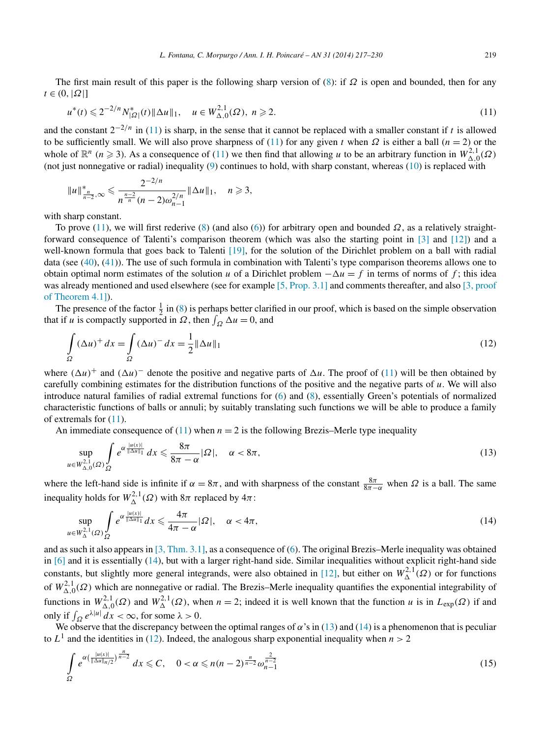<span id="page-2-0"></span>The first main result of this paper is the following sharp version of [\(8\)](#page-1-0): if *Ω* is open and bounded, then for any  $t \in (0, |\Omega|]$ 

$$
u^*(t) \leq 2^{-2/n} N_{|\Omega|}^*(t) \|\Delta u\|_1, \quad u \in W_{\Delta,0}^{2,1}(\Omega), \ n \geq 2. \tag{11}
$$

and the constant  $2^{-2/n}$  in (11) is sharp, in the sense that it cannot be replaced with a smaller constant if *t* is allowed to be sufficiently small. We will also prove sharpness of (11) for any given *t* when  $\Omega$  is either a ball (*n* = 2) or the whole of  $\mathbb{R}^n$  (*n*  $\geq$  3). As a consequence of (11) we then find that allowing *u* to be an arbitrary function in  $W_{\Delta,0}^{2,1}(\Omega)$ (not just nonnegative or radial) inequality [\(9\)](#page-1-0) continues to hold, with sharp constant, whereas [\(10\)](#page-1-0) is replaced with

$$
||u||_{\frac{n}{n-2},\infty}^* \leq \frac{2^{-2/n}}{n^{\frac{n-2}{n}}(n-2)\omega_{n-1}^{2/n}} ||\Delta u||_1, \quad n \geq 3,
$$

with sharp constant.

To prove (11), we will first rederive [\(8\)](#page-1-0) (and also [\(6\)](#page-1-0)) for arbitrary open and bounded *Ω*, as a relatively straight-forward consequence of Talenti's comparison theorem (which was also the starting point in [\[3\]](#page-13-0) and [\[12\]\)](#page-13-0) and a well-known formula that goes back to Talenti [\[19\],](#page-13-0) for the solution of the Dirichlet problem on a ball with radial data (see [\(40\)](#page-7-0), [\(41\)](#page-7-0)). The use of such formula in combination with Talenti's type comparison theorems allows one to obtain optimal norm estimates of the solution *u* of a Dirichlet problem  $-\Delta u = f$  in terms of norms of *f*; this idea was already mentioned and used elsewhere (see for example [\[5, Prop. 3.1\]](#page-13-0) and comments thereafter, and also [\[3, proof](#page-13-0) [of Theorem 4.1\]\)](#page-13-0).

The presence of the factor  $\frac{1}{2}$  in [\(8\)](#page-1-0) is perhaps better clarified in our proof, which is based on the simple observation that if *u* is compactly supported in  $\Omega$ , then  $\int_{\Omega} \Delta u = 0$ , and

$$
\int_{\Omega} (\Delta u)^{+} dx = \int_{\Omega} (\Delta u)^{-} dx = \frac{1}{2} ||\Delta u||_{1}
$$
\n(12)

where  $(\Delta u)^+$  and  $(\Delta u)^-$  denote the positive and negative parts of  $\Delta u$ . The proof of (11) will be then obtained by carefully combining estimates for the distribution functions of the positive and the negative parts of *u*. We will also introduce natural families of radial extremal functions for [\(6\)](#page-1-0) and [\(8\)](#page-1-0), essentially Green's potentials of normalized characteristic functions of balls or annuli; by suitably translating such functions we will be able to produce a family of extremals for (11).

An immediate consequence of  $(11)$  when  $n = 2$  is the following Brezis–Merle type inequality

$$
\sup_{u \in W^{2,1}_{\Delta,0}(\Omega)} \int_{\Omega} e^{\alpha \frac{|u(x)|}{\|\Delta u\|_1}} dx \leq \frac{8\pi}{8\pi - \alpha} |\Omega|, \quad \alpha < 8\pi,
$$
\n(13)

where the left-hand side is infinite if  $\alpha = 8\pi$ , and with sharpness of the constant  $\frac{8\pi}{8\pi-\alpha}$  when  $\Omega$  is a ball. The same inequality holds for  $W^{2,1}_{\Delta}(\Omega)$  with  $8\pi$  replaced by  $4\pi$ :

$$
\sup_{u \in W^{2,1}_{\Delta}(\Omega)} \int_{\Omega} e^{\alpha \frac{|u(x)|}{\|\Delta u\|_1}} dx \leq \frac{4\pi}{4\pi - \alpha} |\Omega|, \quad \alpha < 4\pi,
$$
\n(14)

and as such it also appears in [\[3, Thm. 3.1\],](#page-13-0) as a consequence of [\(6\)](#page-1-0). The original Brezis–Merle inequality was obtained in [\[6\]](#page-13-0) and it is essentially (14), but with a larger right-hand side. Similar inequalities without explicit right-hand side constants, but slightly more general integrands, were also obtained in [\[12\],](#page-13-0) but either on  $W_\Delta^{2,1}(\Omega)$  or for functions of  $W_{\Delta,0}^{2,1}(\Omega)$  which are nonnegative or radial. The Brezis–Merle inequality quantifies the exponential integrability of functions in  $W_{\Delta,0}^{2,1}(\Omega)$  and  $W_{\Delta}^{2,1}(\Omega)$ , when  $n=2$ ; indeed it is well known that the function *u* is in  $L_{exp}(\Omega)$  if and only if  $\int_{\Omega} e^{\lambda |u|} dx < \infty$ , for some  $\lambda > 0$ .

We observe that the discrepancy between the optimal ranges of  $\alpha$ 's in (13) and (14) is a phenomenon that is peculiar to  $L^1$  and the identities in (12). Indeed, the analogous sharp exponential inequality when  $n > 2$ 

$$
\int_{\Omega} e^{\alpha \left(\frac{|u(x)|}{\|\Delta u\|_{n/2}}\right)^{\frac{n}{n-2}}} dx \leq C, \quad 0 < \alpha \leq n(n-2)^{\frac{n}{n-2}} \omega_{n-1}^{\frac{2}{n-2}} \tag{15}
$$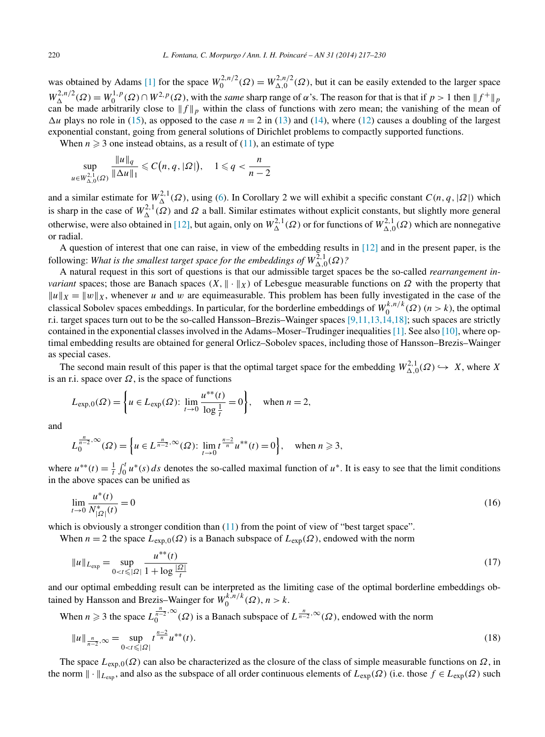<span id="page-3-0"></span>was obtained by Adams [\[1\]](#page-13-0) for the space  $W_0^{2,n/2}(\Omega) = W_{\Delta,0}^{2,n/2}(\Omega)$ , but it can be easily extended to the larger space  $W^{2,n/2}_{\Delta}(\Omega) = W^{1,p}_0(\Omega) \cap W^{2,p}(\Omega)$ , with the *same* sharp range of *α*'s. The reason for that is that if  $p > 1$  then  $||f^+||_p$ can be made arbitrarily close to  $||f||_p$  within the class of functions with zero mean; the vanishing of the mean of  $\Delta u$  plays no role in [\(15\)](#page-2-0), as opposed to the case  $n = 2$  in [\(13\)](#page-2-0) and [\(14\)](#page-2-0), where [\(12\)](#page-2-0) causes a doubling of the largest exponential constant, going from general solutions of Dirichlet problems to compactly supported functions.

When  $n \geq 3$  one instead obtains, as a result of [\(11\)](#page-2-0), an estimate of type

$$
\sup_{u\in W^{2,1}_{\Delta,0}(\Omega)}\frac{\|u\|_q}{\|\Delta u\|_1}\leqslant C\big(n,q,|\Omega|\big),\quad 1\leqslant q<\frac{n}{n-2}
$$

and a similar estimate for  $W_{\Delta}^{2,1}(\Omega)$ , using [\(6\)](#page-1-0). In Corollary 2 we will exhibit a specific constant  $C(n, q, |\Omega|)$  which is sharp in the case of  $W^{2,1}_{\Delta}(\Omega)$  and  $\Omega$  a ball. Similar estimates without explicit constants, but slightly more general otherwise, were also obtained in [\[12\],](#page-13-0) but again, only on  $W^{2,1}_\Delta(\Omega)$  or for functions of  $W^{2,1}_{\Delta,0}(\Omega)$  which are nonnegative or radial.

A question of interest that one can raise, in view of the embedding results in [\[12\]](#page-13-0) and in the present paper, is the following: *What is the smallest target space for the embeddings of*  $W_{\Delta,0}^{2,1}(\Omega)$ ?

A natural request in this sort of questions is that our admissible target spaces be the so-called *rearrangement invariant* spaces; those are Banach spaces  $(X, \|\cdot\|_X)$  of Lebesgue measurable functions on  $\Omega$  with the property that  $||u||_X = ||w||_X$ , whenever *u* and *w* are equimeasurable. This problem has been fully investigated in the case of the classical Sobolev spaces embeddings. In particular, for the borderline embeddings of  $W_0^{k,n/k}(\Omega)$  (*n* > *k*), the optimal r.i. target spaces turn out to be the so-called Hansson–Brezis–Wainger spaces [\[9,11,13,14,18\];](#page-13-0) such spaces are strictly contained in the exponential classes involved in the Adams–Moser–Trudinger inequalities[\[1\].](#page-13-0) See also [\[10\],](#page-13-0) where optimal embedding results are obtained for general Orlicz–Sobolev spaces, including those of Hansson–Brezis–Wainger as special cases.

The second main result of this paper is that the optimal target space for the embedding  $W_{\Delta,0}^{2,1}(\Omega) \hookrightarrow X$ , where X is an r.i. space over  $\Omega$ , is the space of functions

$$
L_{\exp,0}(\Omega) = \left\{ u \in L_{\exp}(\Omega) : \lim_{t \to 0} \frac{u^{**}(t)}{\log \frac{1}{t}} = 0 \right\}, \text{ when } n = 2,
$$

and

$$
L_0^{\frac{n}{n-2},\infty}(\Omega) = \left\{ u \in L^{\frac{n}{n-2},\infty}(\Omega) : \lim_{t \to 0} t^{\frac{n-2}{n}} u^{**}(t) = 0 \right\}, \text{ when } n \ge 3,
$$

where  $u^{**}(t) = \frac{1}{t} \int_0^t u^*(s) ds$  denotes the so-called maximal function of  $u^*$ . It is easy to see that the limit conditions in the above spaces can be unified as

$$
\lim_{t \to 0} \frac{u^*(t)}{N_{|\Omega|}^*(t)} = 0 \tag{16}
$$

which is obviously a stronger condition than  $(11)$  from the point of view of "best target space".

When  $n = 2$  the space  $L_{exp,0}(\Omega)$  is a Banach subspace of  $L_{exp}(\Omega)$ , endowed with the norm

$$
||u||_{L_{exp}} = \sup_{0 < t \leq |\Omega|} \frac{u^{**}(t)}{1 + \log \frac{|\Omega|}{t}} \tag{17}
$$

and our optimal embedding result can be interpreted as the limiting case of the optimal borderline embeddings obtained by Hansson and Brezis–Wainger for  $W_0^{k,n/k}(\Omega)$ ,  $n > k$ .

When  $n \ge 3$  the space  $L_0^{\frac{n}{n-2}, \infty}(\Omega)$  is a Banach subspace of  $L^{\frac{n}{n-2}, \infty}(\Omega)$ , endowed with the norm

$$
||u||_{\frac{n}{n-2},\infty} = \sup_{0 < t \leq |\Omega|} t^{\frac{n-2}{n}} u^{**}(t). \tag{18}
$$

The space  $L_{\text{exp},0}(\Omega)$  can also be characterized as the closure of the class of simple measurable functions on  $\Omega$ , in the norm  $\|\cdot\|_{L_{\text{exp}}}$ , and also as the subspace of all order continuous elements of  $L_{\text{exp}}(\Omega)$  (i.e. those  $f \in L_{\text{exp}}(\Omega)$  such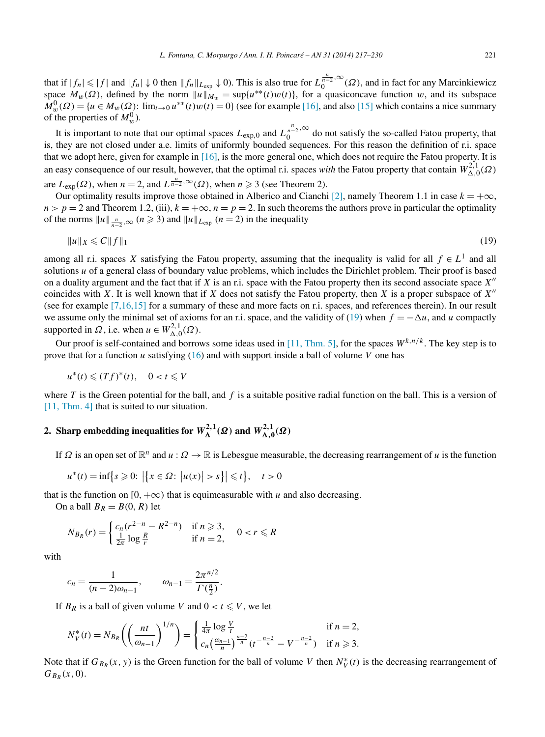that if  $|f_n| \le |f|$  and  $|f_n| \downarrow 0$  then  $||f_n||_{L_{exp}} \downarrow 0$ ). This is also true for  $L_0^{\frac{n}{n-2},\infty}(\Omega)$ , and in fact for any Marcinkiewicz space  $M_w(\Omega)$ , defined by the norm  $||u||_{M_w} = \sup\{u^{**}(t)w(t)\}\$ , for a quasiconcave function *w*, and its subspace  $M_w^0(\Omega) = \{u \in M_w(\Omega) : \lim_{t \to 0} u^{**}(t)w(t) = 0\}$  (see for example [\[16\],](#page-13-0) and also [\[15\]](#page-13-0) which contains a nice summary of the properties of  $M_w^0$ ).

It is important to note that our optimal spaces  $L_{exp,0}$  and  $L_0^{\frac{n}{n-2},\infty}$  do not satisfy the so-called Fatou property, that is, they are not closed under a.e. limits of uniformly bounded sequences. For this reason the definition of r.i. space that we adopt here, given for example in [\[16\],](#page-13-0) is the more general one, which does not require the Fatou property. It is an easy consequence of our result, however, that the optimal r.i. spaces *with* the Fatou property that contain  $W_{\Delta,0}^{2,1}(\Omega)$ are  $L_{\text{exp}}(\Omega)$ , when  $n = 2$ , and  $L^{\frac{n}{n-2}, \infty}(\Omega)$ , when  $n \geq 3$  (see Theorem 2).

Our optimality results improve those obtained in Alberico and Cianchi [\[2\],](#page-13-0) namely Theorem 1.1 in case  $k = +\infty$ ,  $n > p = 2$  and Theorem 1.2, (iii),  $k = +\infty$ ,  $n = p = 2$ . In such theorems the authors prove in particular the optimality of the norms  $||u||_{\frac{n}{n-2},\infty}$   $(n \ge 3)$  and  $||u||_{L_{exp}}$   $(n = 2)$  in the inequality

$$
||u||_X \leqslant C||f||_1 \tag{19}
$$

among all r.i. spaces *X* satisfying the Fatou property, assuming that the inequality is valid for all  $f \in L<sup>1</sup>$  and all solutions *u* of a general class of boundary value problems, which includes the Dirichlet problem. Their proof is based on a duality argument and the fact that if *X* is an r.i. space with the Fatou property then its second associate space *X* coincides with *X*. It is well known that if *X* does not satisfy the Fatou property, then *X* is a proper subspace of *X* (see for example [\[7,16,15\]](#page-13-0) for a summary of these and more facts on r.i. spaces, and references therein). In our result we assume only the minimal set of axioms for an r.i. space, and the validity of (19) when  $f = -\Delta u$ , and *u* compactly supported in  $\Omega$ , i.e. when  $u \in W^{2,1}_{\Delta,0}(\Omega)$ .

Our proof is self-contained and borrows some ideas used in [11, [Thm. 5\],](#page-13-0) for the spaces *Wk,n/k* . The key step is to prove that for a function *u* satisfying [\(16\)](#page-3-0) and with support inside a ball of volume *V* one has

$$
u^*(t) \leq (Tf)^*(t), \quad 0 < t \leq V
$$

where  $T$  is the Green potential for the ball, and  $f$  is a suitable positive radial function on the ball. This is a version of [\[11, Thm. 4\]](#page-13-0) that is suited to our situation.

## **2.** Sharp embedding inequalities for  $W_{\mathbf{\Delta}}^{2,1}(\Omega)$  and  $W_{\mathbf{\Delta},0}^{2,1}(\Omega)$

If  $\Omega$  is an open set of  $\mathbb{R}^n$  and  $u : \Omega \to \mathbb{R}$  is Lebesgue measurable, the decreasing rearrangement of *u* is the function

$$
u^*(t) = \inf\big\{s \ge 0: \, \big|\big\{x \in \Omega: \, \big|u(x)\big| > s\big\}\big| \le t\big\}, \quad t > 0
$$

that is the function on [0, + $\infty$ ) that is equimeasurable with *u* and also decreasing.

On a ball  $B_R = B(0, R)$  let

$$
N_{B_R}(r) = \begin{cases} c_n(r^{2-n} - R^{2-n}) & \text{if } n \ge 3, \\ \frac{1}{2\pi} \log \frac{R}{r} & \text{if } n = 2, \end{cases} \quad 0 < r \le R
$$

with

$$
c_n = \frac{1}{(n-2)\omega_{n-1}}, \qquad \omega_{n-1} = \frac{2\pi^{n/2}}{\Gamma(\frac{n}{2})}.
$$

If  $B_R$  is a ball of given volume *V* and  $0 < t \leq V$ , we let

$$
N_V^*(t) = N_{B_R}\left(\left(\frac{nt}{\omega_{n-1}}\right)^{1/n}\right) = \begin{cases} \frac{1}{4\pi}\log\frac{V}{t} & \text{if } n = 2, \\ c_n\left(\frac{\omega_{n-1}}{n}\right)^{\frac{n-2}{n}}(t^{-\frac{n-2}{n}} - V^{-\frac{n-2}{n}}) & \text{if } n \ge 3. \end{cases}
$$

Note that if  $G_{B_R}(x, y)$  is the Green function for the ball of volume *V* then  $N_V^*(t)$  is the decreasing rearrangement of  $G_{B_R}(x,0)$ .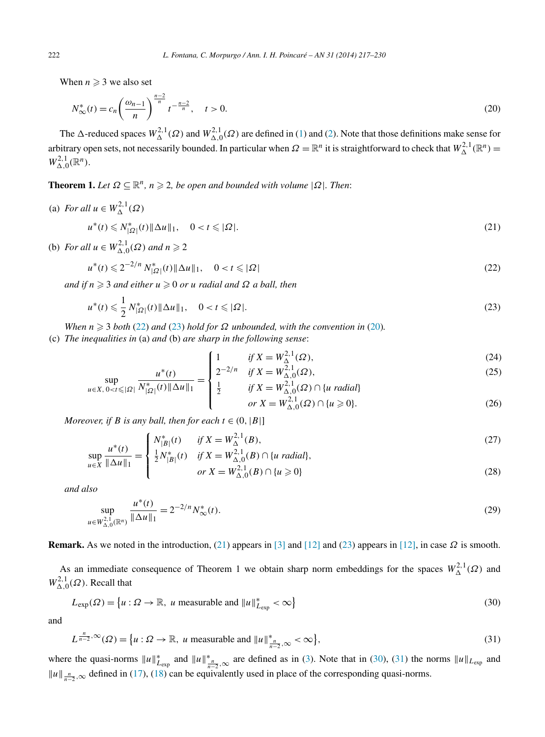<span id="page-5-0"></span>When  $n \geqslant 3$  we also set

$$
N_{\infty}^{*}(t) = c_n \left(\frac{\omega_{n-1}}{n}\right)^{\frac{n-2}{n}} t^{-\frac{n-2}{n}}, \quad t > 0.
$$
 (20)

The  $\Delta$ -reduced spaces  $W_{\Delta}^{2,1}(\Omega)$  and  $W_{\Delta,0}^{2,1}(\Omega)$  are defined in [\(1\)](#page-0-0) and [\(2\)](#page-0-0). Note that those definitions make sense for arbitrary open sets, not necessarily bounded. In particular when  $\Omega = \mathbb{R}^n$  it is straightforward to check that  $W_{\Delta}^{2,1}(\mathbb{R}^n)$  $W^{2,1}_{\Delta,0}(\mathbb{R}^n)$ .

**Theorem 1.** *Let*  $\Omega \subseteq \mathbb{R}^n$ ,  $n \geq 2$ , be open and bounded with volume  $|\Omega|$ *. Then:* 

(a) *For all*  $u \in W_{\Delta}^{2,1}(\Omega)$  $u^*(t) \le N_{|\Omega|}^*(t) \|\Delta u\|_1, \quad 0 < t \le |\Omega|.$  (21)

(b) For all 
$$
u \in W_{\Delta,0}^{2,1}(\Omega)
$$
 and  $n \ge 2$ 

$$
u^*(t) \leq 2^{-2/n} N_{|\Omega|}^*(t) \|\Delta u\|_1, \quad 0 < t \leq |\Omega| \tag{22}
$$

*and if n* - 3 *and either u* - 0 *or u radial and Ω a ball, then*

$$
u^*(t) \leq \frac{1}{2} N_{|\Omega|}^*(t) \|\Delta u\|_1, \quad 0 < t \leq |\Omega|.
$$
\n(23)

*When*  $n \geq 3$  *both* (22) *and* (23) *hold for*  $\Omega$  *unbounded, with the convention in* (20)*.* 

 $\sqrt{ }$ 

(c) *The inequalities in* (a) *and* (b) *are sharp in the following sense*:

1 if 
$$
X = W^{2,1}_{\Delta}(\Omega)
$$
, (24)

$$
\sup_{u \in X, \, 0 < t \leq |\Omega|} \frac{u^*(t)}{N_{|\Omega|}^*(t) \|\Delta u\|_1} = \begin{cases} 2^{-2/n} & \text{if } X = W_{\Delta,0}^{2,1}(\Omega), \\ \frac{1}{2} & \text{if } X = W_{\Delta,0}^{2,1}(\Omega) \cap \{u \text{ radial}\} \\ \text{or } X = W_{\Delta,0}^{2,1}(\Omega) \cap \{u \geq 0\}. \end{cases} \tag{25}
$$

or 
$$
X = W_{\Delta,0}^{2,1}(\Omega) \cap \{u \ge 0\}.
$$
 (26)

*Moreover, if B is any ball, then for each*  $t \in (0, |B|]$ 

$$
u^*(t) = \begin{cases} N_{|B|}^*(t) & \text{if } X = W_{\Delta}^{2,1}(B), \\ 1, & \text{if } X = W_{\Delta}^{2,1}(B) \text{ of } \mathbb{R} \end{cases}
$$
(27)

$$
\sup_{u \in X} \frac{u^*(t)}{\|\Delta u\|_1} = \begin{cases} \frac{1}{2} N_{|B|}^*(t) & \text{if } X = W_{\Delta, 0}^2(D), \\ \frac{1}{2} N_{|B|}^*(t) & \text{if } X = W_{\Delta, 0}^{2,1}(B) \cap \{u \text{ radial}\}, \\ & \text{or } X = W_{\Delta, 0}^{2,1}(B) \cap \{u \ge 0\} \end{cases}
$$
(28)

*and also*

$$
\sup_{u \in W_{\Delta,0}^{2,1}(\mathbb{R}^n)} \frac{u^*(t)}{\|\Delta u\|_1} = 2^{-2/n} N^*_{\infty}(t).
$$
\n(29)

**Remark.** As we noted in the introduction, (21) appears in [\[3\]](#page-13-0) and [\[12\]](#page-13-0) and (23) appears in [\[12\],](#page-13-0) in case  $\Omega$  is smooth.

As an immediate consequence of Theorem 1 we obtain sharp norm embeddings for the spaces  $W_{\Delta}^{2,1}(\Omega)$  and  $W^{2,1}_{\Delta,0}(\Omega)$ . Recall that

$$
L_{\exp}(\Omega) = \left\{ u : \Omega \to \mathbb{R}, \ u \text{ measurable and } ||u||_{L_{\exp}}^* < \infty \right\}
$$
 (30)

and

$$
L^{\frac{n}{n-2},\infty}(\Omega) = \{u : \Omega \to \mathbb{R}, \ u \text{ measurable and } ||u||^*_{\frac{n}{n-2},\infty} < \infty\},\tag{31}
$$

where the quasi-norms  $||u||_{L_{exp}}^*$  and  $||u||_{\frac{n}{n-2},\infty}^*$  are defined as in [\(3\)](#page-1-0). Note that in (30), (31) the norms  $||u||_{L_{exp}}$  and  $||u||_{\frac{n}{n-2}$ , ∞ defined in [\(17\)](#page-3-0), [\(18\)](#page-3-0) can be equivalently used in place of the corresponding quasi-norms.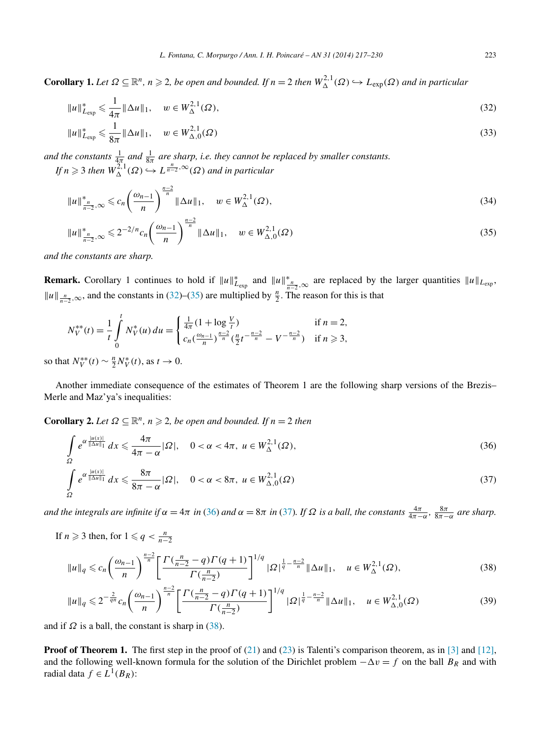<span id="page-6-0"></span>**Corollary 1.** Let  $\Omega \subseteq \mathbb{R}^n$ ,  $n \geq 2$ , be open and bounded. If  $n = 2$  then  $W_{\Delta}^{2,1}(\Omega) \hookrightarrow L_{exp}(\Omega)$  and in particular

$$
||u||_{L_{exp}}^* \leq \frac{1}{4\pi} ||\Delta u||_1, \quad w \in W_{\Delta}^{2,1}(\Omega),
$$
\n(32)

$$
||u||_{L_{exp}}^* \leq \frac{1}{8\pi} ||\Delta u||_1, \quad w \in W_{\Delta,0}^{2,1}(\Omega)
$$
\n(33)

*and the constants*  $\frac{1}{4\pi}$  *and*  $\frac{1}{8\pi}$  *are sharp, i.e. they cannot be replaced by smaller constants. If*  $n \geq 3$  *then*  $W_{\Delta}^{\Sigma,1}(\Omega) \hookrightarrow L^{\frac{n}{n-2},\infty}(\Omega)$  *and in particular* 

$$
||u||_{\frac{n}{n-2},\infty}^* \leq c_n \left(\frac{\omega_{n-1}}{n}\right)^{\frac{n-2}{n}} ||\Delta u||_1, \quad w \in W^{2,1}_\Delta(\Omega), \tag{34}
$$

$$
||u||_{\frac{n}{n-2},\infty}^* \leq 2^{-2/n} c_n \left(\frac{\omega_{n-1}}{n}\right)^{\frac{n-2}{n}} ||\Delta u||_1, \quad w \in W_{\Delta,0}^{2,1}(\Omega)
$$
\n(35)

*and the constants are sharp.*

**Remark.** Corollary 1 continues to hold if  $||u||^*_{L_{exp}}$  and  $||u||^*_{\frac{n}{n-2},\infty}$  are replaced by the larger quantities  $||u||_{L_{exp}}$ ,  $||u||_{\frac{n}{n-2}, \infty}$ , and the constants in (32)–(35) are multiplied by  $\frac{n}{2}$ . The reason for this is that

$$
N_V^{**}(t) = \frac{1}{t} \int_0^t N_V^*(u) du = \begin{cases} \frac{1}{4\pi} (1 + \log \frac{V}{t}) & \text{if } n = 2, \\ c_n \left(\frac{\omega_{n-1}}{n}\right)^{\frac{n-2}{n}} \left(\frac{n}{2} t^{-\frac{n-2}{n}} - V^{-\frac{n-2}{n}}\right) & \text{if } n \ge 3, \end{cases}
$$

so that  $N_V^{**}(t) \sim \frac{n}{2} N_V^{*}(t)$ , as  $t \to 0$ .

Another immediate consequence of the estimates of Theorem 1 are the following sharp versions of the Brezis– Merle and Maz'ya's inequalities:

**Corollary 2.** *Let*  $\Omega \subseteq \mathbb{R}^n$ ,  $n \geq 2$ , *be open and bounded. If*  $n = 2$  *then* 

$$
\int_{\Omega} e^{\alpha \frac{|u(x)|}{\|\Delta u\|_1}} dx \leq \frac{4\pi}{4\pi - \alpha} |\Omega|, \quad 0 < \alpha < 4\pi, \ u \in W_{\Delta}^{2,1}(\Omega),
$$
\n
$$
\int_{\Omega} e^{\alpha \frac{|u(x)|}{\|\Delta u\|_1}} dx \leq \frac{8\pi}{8\pi - \alpha} |\Omega|, \quad 0 < \alpha < 8\pi, \ u \in W_{\Delta,0}^{2,1}(\Omega)
$$
\n(37)

and the integrals are infinite if  $\alpha = 4\pi$  in (36) and  $\alpha = 8\pi$  in (37). If  $\Omega$  is a ball, the constants  $\frac{4\pi}{4\pi - \alpha}$ ,  $\frac{8\pi}{8\pi - \alpha}$  are sharp.

If *n*  $\geq$  3 then, for  $1 \leq q < \frac{n}{n-2}$ 

$$
||u||_q \leq c_n \left(\frac{\omega_{n-1}}{n}\right)^{\frac{n-2}{n}} \left[\frac{\Gamma(\frac{n}{n-2}-q)\Gamma(q+1)}{\Gamma(\frac{n}{n-2})}\right]^{1/q} |\Omega|^{\frac{1}{q}-\frac{n-2}{n}} ||\Delta u||_1, \quad u \in W^{2,1}_{\Delta}(\Omega),\tag{38}
$$

$$
\|u\|_{q} \leq 2^{-\frac{2}{qn}} c_n \left(\frac{\omega_{n-1}}{n}\right)^{\frac{n-2}{n}} \left[\frac{\Gamma(\frac{n}{n-2}-q)\Gamma(q+1)}{\Gamma(\frac{n}{n-2})}\right]^{1/q} |\Omega|^{\frac{1}{q}-\frac{n-2}{n}} \|\Delta u\|_{1}, \quad u \in W^{2,1}_{\Delta,0}(\Omega) \tag{39}
$$

and if  $\Omega$  is a ball, the constant is sharp in (38).

**Proof of Theorem 1.** The first step in the proof of [\(21\)](#page-5-0) and [\(23\)](#page-5-0) is Talenti's comparison theorem, as in [\[3\]](#page-13-0) and [\[12\],](#page-13-0) and the following well-known formula for the solution of the Dirichlet problem  $-\Delta v = f$  on the ball  $B_R$  and with radial data  $f \in L^1(B_R)$ :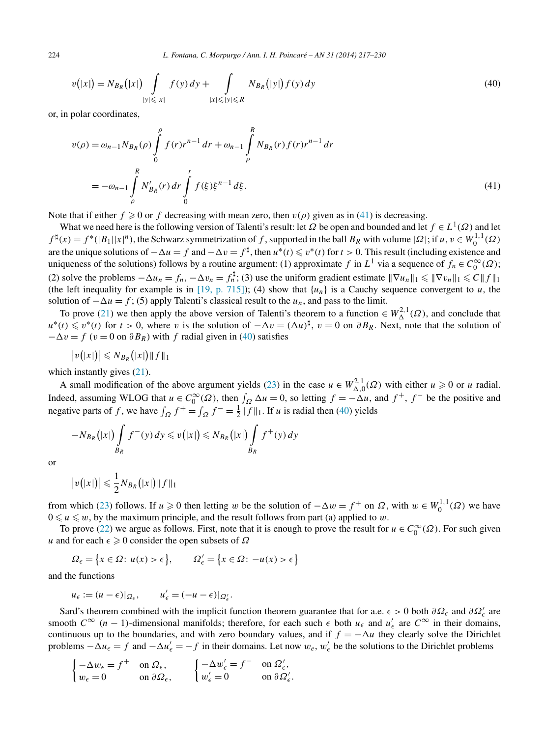<span id="page-7-0"></span>224 *L. Fontana, C. Morpurgo / Ann. I. H. Poincaré – AN 31 (2014) 217–230*

$$
v(|x|) = N_{B_R}(|x|) \int_{|y| \le |x|} f(y) \, dy + \int_{|x| \le |y| \le R} N_{B_R}(|y|) f(y) \, dy \tag{40}
$$

or, in polar coordinates,

$$
v(\rho) = \omega_{n-1} N_{B_R}(\rho) \int_0^{\rho} f(r)r^{n-1} dr + \omega_{n-1} \int_{\rho}^R N_{B_R}(r) f(r)r^{n-1} dr
$$
  
=  $-\omega_{n-1} \int_{\rho}^R N'_{B_R}(r) dr \int_0^r f(\xi) \xi^{n-1} d\xi.$  (41)

Note that if either  $f \ge 0$  or  $f$  decreasing with mean zero, then  $v(\rho)$  given as in (41) is decreasing.

What we need here is the following version of Talenti's result: let  $\Omega$  be open and bounded and let  $f \in L^1(\Omega)$  and let  $f^{\sharp}(x) = f^{*}(|B_1||x|^n)$ , the Schwarz symmetrization of *f*, supported in the ball  $B_R$  with volume  $|Q|$ ; if  $u, v \in W_0^{1,1}(\Omega)$ are the unique solutions of  $-\Delta u = f$  and  $-\Delta v = f^{\sharp}$ , then  $u^*(t) \leq v^*(t)$  for  $t > 0$ . This result (including existence and uniqueness of the solutions) follows by a routine argument: (1) approximate *f* in  $L^1$  via a sequence of  $f_n \in C_0^{\infty}(\Omega)$ ; (2) solve the problems  $-\Delta u_n = f_n$ ,  $-\Delta v_n = f_n^{\sharp}$ ; (3) use the uniform gradient estimate  $\|\nabla u_n\|_1 \le \|\nabla v_n\|_1 \le C \|f\|_1$ (the left inequality for example is in [\[19, p. 715\]\)](#page-13-0); (4) show that  $\{u_n\}$  is a Cauchy sequence convergent to *u*, the solution of  $-\Delta u = f$ ; (5) apply Talenti's classical result to the *u<sub>n</sub>*, and pass to the limit.

To prove [\(21\)](#page-5-0) we then apply the above version of Talenti's theorem to a function  $\in W^{2,1}_{\Delta}(\Omega)$ , and conclude that  $u^*(t) \leq v^*(t)$  for  $t > 0$ , where *v* is the solution of  $-\Delta v = (\Delta u)^{\sharp}$ ,  $v = 0$  on  $\partial B_R$ . Next, note that the solution of  $- \Delta v = f$  (*v* = 0 on  $\partial B_R$ ) with *f* radial given in (40) satisfies

$$
|v(|x|)| \leqslant N_{B_R}(|x|) \|f\|_1
$$

which instantly gives  $(21)$ .

A small modification of the above argument yields [\(23\)](#page-5-0) in the case  $u \in W^{2,1}_{\Delta,0}(\Omega)$  with either  $u \ge 0$  or *u* radial. Indeed, assuming WLOG that  $u \in C_0^{\infty}(\Omega)$ , then  $\int_{\Omega} \Delta u = 0$ , so letting  $f = -\Delta u$ , and  $f^+$ ,  $f^-$  be the positive and negative parts of *f*, we have  $\int_{\Omega} f^+ = \int_{\Omega} f^- = \frac{1}{2} ||f||_1$ . If *u* is radial then (40) yields

$$
-N_{B_R}(|x|)\int\limits_{B_R}f^-(y)\,dy\leqslant v(|x|)\leqslant N_{B_R}(|x|)\int\limits_{B_R}f^+(y)\,dy
$$

or

$$
|v(|x|)| \leqslant \frac{1}{2} N_{B_R}(|x|) \|f\|_1
$$

from which [\(23\)](#page-5-0) follows. If  $u \ge 0$  then letting *w* be the solution of  $-\Delta w = f^+$  on  $\Omega$ , with  $w \in W_0^{1,1}(\Omega)$  we have  $0 \le u \le w$ , by the maximum principle, and the result follows from part (a) applied to *w*.

To prove [\(22\)](#page-5-0) we argue as follows. First, note that it is enough to prove the result for  $u \in C_0^{\infty}(\Omega)$ . For such given *u* and for each  $\epsilon \geq 0$  consider the open subsets of  $\Omega$ 

$$
\Omega_{\epsilon} = \left\{ x \in \Omega \colon u(x) > \epsilon \right\}, \qquad \Omega'_{\epsilon} = \left\{ x \in \Omega \colon -u(x) > \epsilon \right\}
$$

and the functions

$$
u_{\epsilon} := (u - \epsilon)|_{\Omega_{\epsilon}}, \qquad u'_{\epsilon} = (-u - \epsilon)|_{\Omega'_{\epsilon}}.
$$

Sard's theorem combined with the implicit function theorem guarantee that for a.e.  $\epsilon > 0$  both  $\partial \Omega_\epsilon$  and  $\partial \Omega'_\epsilon$  are smooth  $C^{\infty}$  (*n* − 1)-dimensional manifolds; therefore, for each such  $\epsilon$  both  $u_{\epsilon}$  and  $u'_{\epsilon}$  are  $C^{\infty}$  in their domains, continuous up to the boundaries, and with zero boundary values, and if  $f = -\Delta u$  they clearly solve the Dirichlet problems  $-\Delta u_{\epsilon} = f$  and  $-\Delta u'_{\epsilon} = -f$  in their domains. Let now  $w_{\epsilon}$ ,  $w'_{\epsilon}$  be the solutions to the Dirichlet problems

$$
\begin{cases}\n-\Delta w_{\epsilon} = f^{+} & \text{on } \Omega_{\epsilon}, \\
w_{\epsilon} = 0 & \text{on } \partial \Omega_{\epsilon},\n\end{cases}\n\qquad\n\begin{cases}\n-\Delta w_{\epsilon}' = f^{-} & \text{on } \Omega_{\epsilon}', \\
w_{\epsilon}' = 0 & \text{on } \partial \Omega_{\epsilon}'.\n\end{cases}
$$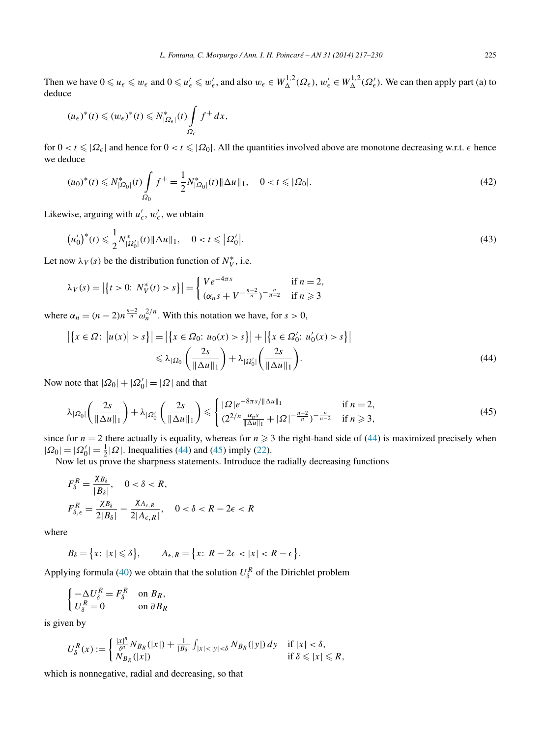Then we have  $0 \leq u_{\epsilon} \leq w_{\epsilon}$  and  $0 \leq u'_{\epsilon} \leq w'_{\epsilon}$ , and also  $w_{\epsilon} \in W_{\Delta}^{1,2}(\Omega_{\epsilon}), w'_{\epsilon} \in W_{\Delta}^{1,2}(\Omega_{\epsilon}')$ . We can then apply part (a) to deduce

$$
(\mu_{\epsilon})^*(t) \leqslant (\omega_{\epsilon})^*(t) \leqslant N_{|\Omega_{\epsilon}|}^*(t) \int_{\Omega_{\epsilon}} f^+ dx,
$$

for  $0 < t \leq |\Omega_{\epsilon}|$  and hence for  $0 < t \leq |\Omega_{0}|$ . All the quantities involved above are monotone decreasing w.r.t.  $\epsilon$  hence we deduce

$$
(u_0)^*(t) \leq N^*_{|\Omega_0|}(t) \int_{\Omega_0} f^+ = \frac{1}{2} N^*_{|\Omega_0|}(t) \|\Delta u\|_1, \quad 0 < t \leq |\Omega_0|.
$$
 (42)

Likewise, arguing with  $u'_{\epsilon}$ ,  $w'_{\epsilon}$ , we obtain

$$
\left(u_0'\right)^*(t) \leqslant \frac{1}{2} N_{|\Omega_0'|}^*(t) \|\Delta u\|_1, \quad 0 < t \leqslant \left|\Omega_0'\right|.\tag{43}
$$

Let now  $\lambda_V(s)$  be the distribution function of  $N_V^*$ , i.e.

$$
\lambda_V(s) = |\{t > 0: N_V^*(t) > s\}| = \begin{cases} Ve^{-4\pi s} & \text{if } n = 2, \\ (\alpha_n s + V^{-\frac{n-2}{n}})^{-\frac{n}{n-2}} & \text{if } n \ge 3 \end{cases}
$$

where  $\alpha_n = (n-2)n^{\frac{n-2}{n}} \omega_n^{2/n}$ . With this notation we have, for  $s > 0$ ,

$$
\left| \left\{ x \in \Omega : \left| u(x) \right| > s \right\} \right| = \left| \left\{ x \in \Omega_0 : u_0(x) > s \right\} \right| + \left| \left\{ x \in \Omega'_0 : u'_0(x) > s \right\} \right|
$$
  
\$\leq \lambda\_{|\Omega\_0|} \left( \frac{2s}{\|\Delta u\|\_1} \right) + \lambda\_{|\Omega'\_0|} \left( \frac{2s}{\|\Delta u\|\_1} \right). \tag{44}

Now note that  $|\Omega_0| + |\Omega'_0| = |\Omega|$  and that

$$
\lambda_{|\Omega_{0}|} \left(\frac{2s}{\|\Delta u\|_{1}}\right) + \lambda_{|\Omega_{0}'|} \left(\frac{2s}{\|\Delta u\|_{1}}\right) \leq \begin{cases} |\Omega|e^{-8\pi s/\|\Delta u\|_{1}} & \text{if } n=2, \\ (2^{2/n} \frac{\alpha_{n}s}{\|\Delta u\|_{1}} + |\Omega|^{-\frac{n-2}{n}})^{-\frac{n}{n-2}} & \text{if } n \geq 3, \end{cases}
$$
(45)

since for  $n = 2$  there actually is equality, whereas for  $n \geq 3$  the right-hand side of (44) is maximized precisely when  $|\Omega_0| = |\Omega'_0| = \frac{1}{2} |\Omega|$ . Inequalities (44) and (45) imply [\(22\)](#page-5-0).

Now let us prove the sharpness statements. Introduce the radially decreasing functions

$$
F_{\delta}^{R} = \frac{\chi_{B_{\delta}}}{|B_{\delta}|}, \quad 0 < \delta < R,
$$
  

$$
F_{\delta, \epsilon}^{R} = \frac{\chi_{B_{\delta}}}{2|B_{\delta}|} - \frac{\chi_{A_{\epsilon, R}}}{2|A_{\epsilon, R}|}, \quad 0 < \delta < R - 2\epsilon < R
$$

where

$$
B_{\delta} = \{x: |x| \leq \delta\}, \qquad A_{\epsilon,R} = \{x: R - 2\epsilon < |x| < R - \epsilon\}.
$$

Applying formula [\(40\)](#page-7-0) we obtain that the solution  $U_{\delta}^{R}$  of the Dirichlet problem

$$
\begin{cases}\n-\Delta U_{\delta}^{R} = F_{\delta}^{R} & \text{on } B_{R}, \\
U_{\delta}^{R} = 0 & \text{on } \partial B_{R}\n\end{cases}
$$

is given by

$$
U_{\delta}^{R}(x) := \begin{cases} \frac{|x|^n}{\delta^n} N_{B_R}(|x|) + \frac{1}{|B_{\delta}|} \int_{|x| < |y| < \delta} N_{B_R}(|y|) dy & \text{if } |x| < \delta, \\ N_{B_R}(|x|) & \text{if } \delta \leq |x| \leq R, \end{cases}
$$

which is nonnegative, radial and decreasing, so that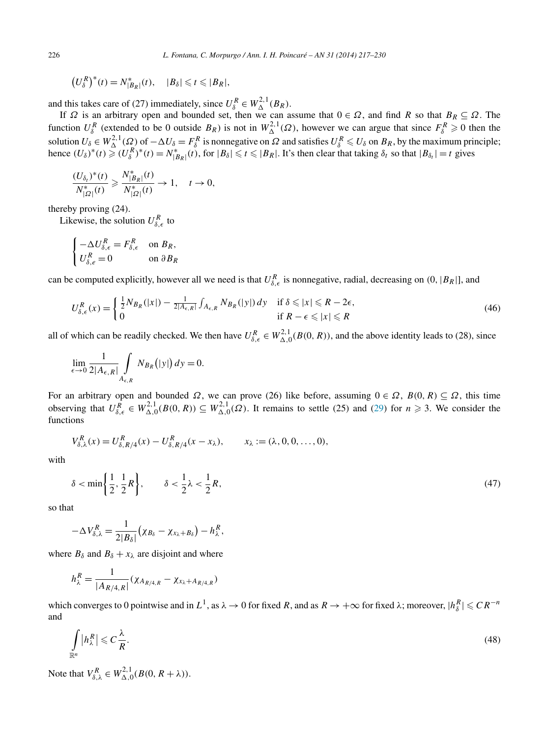<span id="page-9-0"></span>
$$
\left(U_{\delta}^R\right)^*(t) = N_{|B_R|}^*(t), \quad |B_{\delta}| \leq t \leq |B_R|,
$$

and this takes care of (27) immediately, since  $U_{\delta}^R \in W_{\Delta}^{2,1}(B_R)$ .

If *Ω* is an arbitrary open and bounded set, then we can assume that 0 ∈ *Ω*, and find *R* so that *BR* ⊆ *Ω*. The function  $U_{\delta}^R$  (extended to be 0 outside  $B_R$ ) is not in  $W_{\Delta}^{2,1}(\Omega)$ , however we can argue that since  $F_{\delta}^R \ge 0$  then the solution  $U_{\delta} \in W_{\Delta}^{2,1}(\Omega)$  of  $-\Delta U_{\delta} = F_{\delta}^{R}$  is nonnegative on  $\Omega$  and satisfies  $U_{\delta}^{R} \leq U_{\delta}$  on  $B_{R}$ , by the maximum principle; hence  $(U_{\delta})^*(t) \ge (U_{\delta}^R)^*(t) = N_{|B_R|}^*(t)$ , for  $|B_{\delta}| \le t \le |B_R|$ . It's then clear that taking  $\delta_t$  so that  $|B_{\delta_t}| = t$  gives

$$
\frac{(U_{\delta_t})^*(t)}{N_{|\Omega|}^*(t)} \ge \frac{N_{|B_R|}^*(t)}{N_{|\Omega|}^*(t)} \to 1, \quad t \to 0,
$$

thereby proving (24).

Likewise, the solution  $U_{\delta,\epsilon}^R$  to

$$
\begin{cases}\n-\Delta U_{\delta,\epsilon}^R = F_{\delta,\epsilon}^R & \text{on } B_R, \\
U_{\delta,\epsilon}^R = 0 & \text{on } \partial B_R\n\end{cases}
$$

can be computed explicitly, however all we need is that  $U_{\delta,\epsilon}^R$  is nonnegative, radial, decreasing on  $(0, |B_R|]$ , and

$$
U_{\delta,\epsilon}^{R}(x) = \begin{cases} \frac{1}{2} N_{B_R}(|x|) - \frac{1}{2|A_{\epsilon,R}|} \int_{A_{\epsilon,R}} N_{B_R}(|y|) dy & \text{if } \delta \leq |x| \leq R - 2\epsilon, \\ 0 & \text{if } R - \epsilon \leq |x| \leq R \end{cases}
$$
(46)

all of which can be readily checked. We then have  $U_{\delta,\epsilon}^R \in W_{\Delta,0}^{2,1}(B(0,R))$ , and the above identity leads to (28), since

$$
\lim_{\epsilon \to 0} \frac{1}{2|A_{\epsilon,R}|} \int\limits_{A_{\epsilon,R}} N_{B_R}(|y|) dy = 0.
$$

For an arbitrary open and bounded  $\Omega$ , we can prove (26) like before, assuming  $0 \in \Omega$ ,  $B(0, R) \subseteq \Omega$ , this time observing that  $U_{\delta,\epsilon}^R \in W_{\Delta,0}^{2,1}(B(0,R)) \subseteq W_{\Delta,0}^{2,1}(\Omega)$ . It remains to settle (25) and [\(29\)](#page-5-0) for  $n \ge 3$ . We consider the functions

$$
V_{\delta,\lambda}^R(x) = U_{\delta,R/4}^R(x) - U_{\delta,R/4}^R(x - x_\lambda), \qquad x_\lambda := (\lambda, 0, 0, \dots, 0),
$$

with

$$
\delta < \min\left\{\frac{1}{2}, \frac{1}{2}R\right\}, \qquad \delta < \frac{1}{2}\lambda < \frac{1}{2}R,\tag{47}
$$

so that

$$
-\Delta V_{\delta,\lambda}^R=\frac{1}{2|B_\delta|}\big(\chi_{B_\delta}-\chi_{x_\lambda+B_\delta}\big)-h_\lambda^R,
$$

where  $B_\delta$  and  $B_\delta + x_\lambda$  are disjoint and where

$$
h_{\lambda}^{R} = \frac{1}{|A_{R/4,R}|} (\chi_{A_{R/4,R}} - \chi_{x_{\lambda} + A_{R/4,R}})
$$

which converges to 0 pointwise and in  $L^1$ , as  $\lambda \to 0$  for fixed *R*, and as  $R \to +\infty$  for fixed  $\lambda$ ; moreover,  $|h_{\delta}^R| \leqslant C R^{-n}$ and

$$
\int_{\mathbb{R}^n} |h_\lambda^R| \leqslant C \frac{\lambda}{R}.\tag{48}
$$

Note that  $V_{\delta,\lambda}^R \in W_{\Delta,0}^{2,1}(B(0, R + \lambda)).$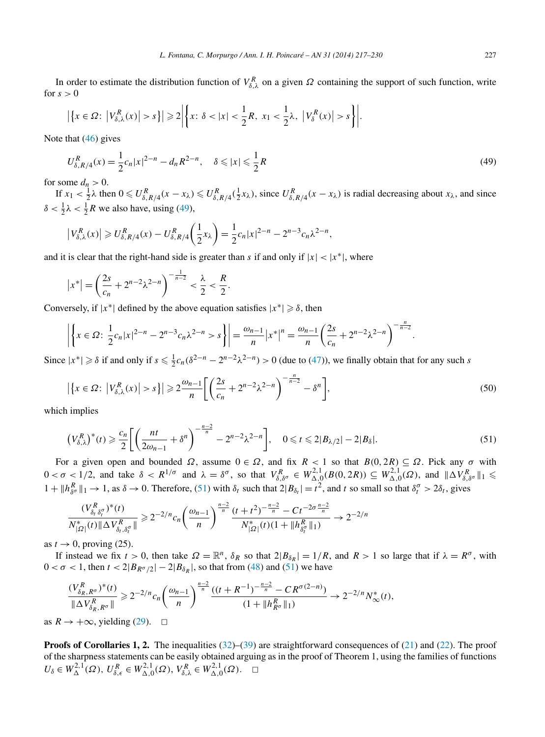In order to estimate the distribution function of  $V_{\delta,\lambda}^R$  on a given  $\Omega$  containing the support of such function, write for  $s > 0$ 

$$
\left|\left\{x\in\Omega\colon\left|V_{\delta,\lambda}^R(x)\right|>s\right\}\right|\geqslant 2\left|\left\{x\colon\delta<|x|<\frac{1}{2}R,\;x_1<\frac{1}{2}\lambda,\;\left|V_{\delta}^R(x)\right|>s\right\}\right|.
$$

Note that [\(46\)](#page-9-0) gives

$$
U_{\delta, R/4}^R(x) = \frac{1}{2} c_n |x|^{2-n} - d_n R^{2-n}, \quad \delta \le |x| \le \frac{1}{2} R
$$
\n(49)

for some  $d_n > 0$ .

If  $x_1 < \frac{1}{2}\lambda$  then  $0 \leq U_{\delta, R/4}^R(x - x_\lambda) \leq U_{\delta, R/4}^R(\frac{1}{2}x_\lambda)$ , since  $U_{\delta, R/4}^R(x - x_\lambda)$  is radial decreasing about  $x_\lambda$ , and since  $\delta < \frac{1}{2}\lambda < \frac{1}{2}R$  we also have, using (49),

$$
\left|V_{\delta,\lambda}^{R}(x)\right| \geq U_{\delta,R/4}^{R}(x) - U_{\delta,R/4}^{R}\left(\frac{1}{2}x_{\lambda}\right) = \frac{1}{2}c_{n}|x|^{2-n} - 2^{n-3}c_{n}\lambda^{2-n},
$$

and it is clear that the right-hand side is greater than *s* if and only if  $|x| < |x^*|$ , where

$$
|x^*| = \left(\frac{2s}{c_n} + 2^{n-2}\lambda^{2-n}\right)^{-\frac{1}{n-2}} < \frac{\lambda}{2} < \frac{R}{2}.
$$

Conversely, if  $|x^*|$  defined by the above equation satisfies  $|x^*| \ge \delta$ , then

$$
\left| \left\{ x \in \Omega : \frac{1}{2} c_n |x|^{2-n} - 2^{n-3} c_n \lambda^{2-n} > s \right\} \right| = \frac{\omega_{n-1}}{n} |x^*|^n = \frac{\omega_{n-1}}{n} \left( \frac{2s}{c_n} + 2^{n-2} \lambda^{2-n} \right)^{-\frac{n}{n-2}}
$$

Since  $|x^*| \geq \delta$  if and only if  $s \leq \frac{1}{2}c_n(\delta^{2-n} - 2^{n-2}\lambda^{2-n}) > 0$  (due to [\(47\)](#page-9-0)), we finally obtain that for any such *s* 

$$
\left|\left\{x \in \Omega : \left|V_{\delta,\lambda}^R(x)\right| > s\right\}\right| \geqslant 2\frac{\omega_{n-1}}{n} \left[\left(\frac{2s}{c_n} + 2^{n-2}\lambda^{2-n}\right)^{-\frac{n}{n-2}} - \delta^n\right],\tag{50}
$$

which implies

$$
\left(V_{\delta,\lambda}^R\right)^*(t) \geqslant \frac{c_n}{2} \bigg[ \left(\frac{nt}{2\omega_{n-1}} + \delta^n\right)^{-\frac{n-2}{n}} - 2^{n-2}\lambda^{2-n} \bigg], \quad 0 \leqslant t \leqslant 2|B_{\lambda/2}| - 2|B_{\delta}|. \tag{51}
$$

For a given open and bounded  $\Omega$ , assume  $0 \in \Omega$ , and fix  $R < 1$  so that  $B(0, 2R) \subseteq \Omega$ . Pick any  $\sigma$  with  $0 < \sigma < 1/2$ , and take  $\delta < R^{1/\sigma}$  and  $\lambda = \delta^{\sigma}$ , so that  $V_{\delta,\delta^{\sigma}}^R \in W_{\Delta,0}^{2,1}(B(0, 2R)) \subseteq W_{\Delta,0}^{2,1}(\Omega)$ , and  $\|\Delta V_{\delta,\delta^{\sigma}}^R\|_1 \leq$  $1 + ||h_{\delta^{\sigma}}^{R}||_1 \rightarrow 1$ , as  $\delta \rightarrow 0$ . Therefore, (51) with  $\delta_t$  such that  $2|B_{\delta_t}| = t^2$ , and t so small so that  $\delta_t^{\sigma} > 2\delta_t$ , gives

$$
\frac{(V_{\delta_t \delta_t^{\sigma}}^R)^*(t)}{N_{|\Omega|}^*(t) \|\Delta V_{\delta_t, \delta_t^{\sigma}}^R\|} \geq 2^{-2/n} c_n \left(\frac{\omega_{n-1}}{n}\right)^{\frac{n-2}{n}} \frac{(t+t^2)^{-\frac{n-2}{n}} - Ct^{-2\sigma\frac{n-2}{n}}}{N_{|\Omega|}^*(t)(1 + \|h_{\delta_t^{\sigma}}^R\|_1)} \to 2^{-2/n}
$$

as  $t \rightarrow 0$ , proving (25).

If instead we fix  $t > 0$ , then take  $\Omega = \mathbb{R}^n$ ,  $\delta_R$  so that  $2|B_{\delta_R}| = 1/R$ , and  $R > 1$  so large that if  $\lambda = R^{\sigma}$ , with  $0 < \sigma < 1$ , then  $t < 2|B_{R^{\sigma}/2}|-2|B_{\delta_R}|$ , so that from [\(48\)](#page-9-0) and (51) we have

$$
\frac{(V_{\delta_R, R^{\sigma}}^R)^*(t)}{\|\Delta V_{\delta_R, R^{\sigma}}^R\|} \geq 2^{-2/n} c_n \left(\frac{\omega_{n-1}}{n}\right)^{\frac{n-2}{n}} \frac{((t+R^{-1})^{-\frac{n-2}{n}} - CR^{\sigma(2-n)})}{(1 + \|h_{R^{\sigma}}^R\|_1)} \to 2^{-2/n} N^*_{\infty}(t),
$$

as  $R \rightarrow +\infty$ , yielding [\(29\)](#page-5-0).  $□$ 

**Proofs of Corollaries 1, 2.** The inequalities [\(32\)](#page-6-0)–[\(39\)](#page-6-0) are straightforward consequences of [\(21\)](#page-5-0) and [\(22\)](#page-5-0). The proof of the sharpness statements can be easily obtained arguing as in the proof of Theorem 1, using the families of functions  $U_{\delta} \in W_{\Delta}^{2,1}(\Omega), U_{\delta,\epsilon}^{R} \in W_{\Delta,0}^{2,1}(\Omega), V_{\delta,\lambda}^{R} \in W_{\Delta,0}^{2,1}(\Omega). \quad \Box$ 

*.*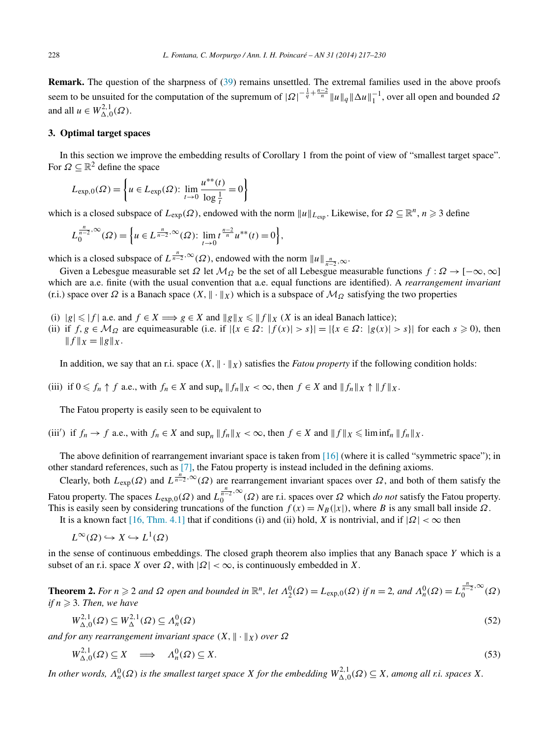<span id="page-11-0"></span>**Remark.** The question of the sharpness of [\(39\)](#page-6-0) remains unsettled. The extremal families used in the above proofs seem to be unsuited for the computation of the supremum of  $|Q|^{-\frac{1}{q} + \frac{n-2}{n}} ||u||_q ||\Delta u||_1^{-1}$ , over all open and bounded  $\Omega$ and all  $u \in W^{2,1}_{\Delta,0}(\Omega)$ .

### **3. Optimal target spaces**

In this section we improve the embedding results of Corollary 1 from the point of view of "smallest target space". For  $\Omega \subseteq \mathbb{R}^2$  define the space

$$
L_{\exp,0}(\Omega) = \left\{ u \in L_{\exp}(\Omega) : \lim_{t \to 0} \frac{u^{**}(t)}{\log \frac{1}{t}} = 0 \right\}
$$

which is a closed subspace of  $L_{exp}(\Omega)$ , endowed with the norm  $||u||_{L_{exp}}$ . Likewise, for  $\Omega \subseteq \mathbb{R}^n$ ,  $n \ge 3$  define

$$
L_0^{\frac{n}{n-2},\infty}(\Omega) = \left\{ u \in L^{\frac{n}{n-2},\infty}(\Omega) : \lim_{t \to 0} t^{\frac{n-2}{n}} u^{**}(t) = 0 \right\},\,
$$

which is a closed subspace of  $L^{\frac{n}{n-2}, \infty}(\Omega)$ , endowed with the norm  $||u||_{\frac{n}{n-2}, \infty}$ .

Given a Lebesgue measurable set  $\Omega$  let  $\mathcal{M}_{\Omega}$  be the set of all Lebesgue measurable functions  $f : \Omega \to [-\infty, \infty]$ which are a.e. finite (with the usual convention that a.e. equal functions are identified). A *rearrangement invariant* (r.i.) space over  $\Omega$  is a Banach space  $(X, \|\cdot\|_X)$  which is a subspace of  $\mathcal{M}_{\Omega}$  satisfying the two properties

- (i)  $|g| \le |f|$  a.e. and  $f \in X \Longrightarrow g \in X$  and  $||g||_X \le ||f||_X$  (*X* is an ideal Banach lattice);
- (ii) if  $f, g \in M_\Omega$  are equimeasurable (i.e. if  $|\{x \in \Omega : |f(x)| > s\}| = |\{x \in \Omega : |g(x)| > s\}|$  for each  $s \ge 0$ ), then  $|| f ||_X = ||g||_X.$

In addition, we say that an r.i. space  $(X, \| \cdot \|_X)$  satisfies the *Fatou property* if the following condition holds:

(iii) if  $0 \leq f_n \uparrow f$  a.e., with  $f_n \in X$  and  $\sup_n ||f_n||_X < \infty$ , then  $f \in X$  and  $||f_n||_X \uparrow ||f||_X$ .

The Fatou property is easily seen to be equivalent to

(iii') if  $f_n \to f$  a.e., with  $f_n \in X$  and  $\sup_n ||f_n||_X < \infty$ , then  $f \in X$  and  $||f||_X \leq$   $\liminf_n ||f_n||_X$ .

The above definition of rearrangement invariant space is taken from [\[16\]](#page-13-0) (where it is called "symmetric space"); in other standard references, such as [\[7\],](#page-13-0) the Fatou property is instead included in the defining axioms.

Clearly, both  $L_{exp}(\Omega)$  and  $L^{\frac{n}{n-2},\infty}(\Omega)$  are rearrangement invariant spaces over  $\Omega$ , and both of them satisfy the Fatou property. The spaces  $L_{exp,0}(\Omega)$  and  $L_0^{\frac{n}{n-2},\infty}(\Omega)$  are r.i. spaces over  $\Omega$  which *do not* satisfy the Fatou property. This is easily seen by considering truncations of the function  $f(x) = N_B(|x|)$ , where *B* is any small ball inside  $\Omega$ .

It is a known fact [\[16, Thm. 4.1\]](#page-13-0) that if conditions (i) and (ii) hold, *X* is nontrivial, and if  $|Ω| < ∞$  then

$$
L^{\infty}(\Omega) \hookrightarrow X \hookrightarrow L^{1}(\Omega)
$$

in the sense of continuous embeddings. The closed graph theorem also implies that any Banach space *Y* which is a subset of an r.i. space *X* over  $\Omega$ , with  $|\Omega| < \infty$ , is continuously embedded in *X*.

**Theorem 2.** For  $n \ge 2$  and  $\Omega$  open and bounded in  $\mathbb{R}^n$ , let  $\Lambda_2^0(\Omega) = L_{\text{exp},0}(\Omega)$  if  $n = 2$ , and  $\Lambda_n^0(\Omega) = L_0^{\frac{n}{n-2},\infty}(\Omega)$ *if*  $n \geqslant 3$ . Then, we have

$$
W_{\Delta,0}^{2,1}(\Omega) \subseteq W_{\Delta}^{2,1}(\Omega) \subseteq \Lambda_n^0(\Omega)
$$
\n
$$
(52)
$$

*and for any rearrangement invariant space*  $(X, \|\cdot\|_X)$  *over*  $\Omega$ 

$$
W_{\Delta,0}^{2,1}(\Omega) \subseteq X \quad \Longrightarrow \quad \Lambda_n^0(\Omega) \subseteq X. \tag{53}
$$

*In other words,*  $\Lambda_n^0(\Omega)$  *is the smallest target space X for the embedding*  $W_{\Delta,0}^{2,1}(\Omega) \subseteq X$ *, among all r.i. spaces X.*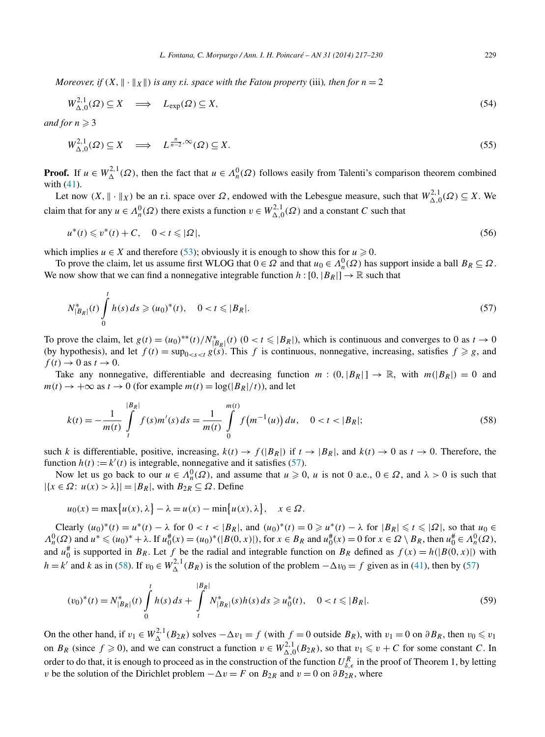<span id="page-12-0"></span>*Moreover, if*  $(X, \|\cdot\|_X\|)$  *is any r.i. space with the Fatou property* (iii)*, then for*  $n = 2$ 

$$
W_{\Delta,0}^{2,1}(\Omega) \subseteq X \quad \Longrightarrow \quad L_{\exp}(\Omega) \subseteq X,\tag{54}
$$

*and for*  $n \geqslant 3$ 

$$
W_{\Delta,0}^{2,1}(\Omega) \subseteq X \quad \Longrightarrow \quad L^{\frac{n}{n-2},\infty}(\Omega) \subseteq X. \tag{55}
$$

**Proof.** If  $u \in W_{\Delta}^{2,1}(\Omega)$ , then the fact that  $u \in \Lambda_n^0(\Omega)$  follows easily from Talenti's comparison theorem combined with [\(41\)](#page-7-0).

Let now  $(X, \| \cdot \|_X)$  be an r.i. space over  $\Omega$ , endowed with the Lebesgue measure, such that  $W_{\Delta,0}^{2,1}(\Omega) \subseteq X$ . We claim that for any  $u \in \Lambda_n^0(\Omega)$  there exists a function  $v \in W_{\Delta,0}^{2,1}(\Omega)$  and a constant *C* such that

$$
u^*(t) \leqslant v^*(t) + C, \quad 0 < t \leqslant |\Omega|,\tag{56}
$$

which implies  $u \in X$  and therefore [\(53\)](#page-11-0); obviously it is enough to show this for  $u \ge 0$ .

To prove the claim, let us assume first WLOG that  $0 \in \Omega$  and that  $u_0 \in \Lambda_n^0(\Omega)$  has support inside a ball  $B_R \subseteq \Omega$ . We now show that we can find a nonnegative integrable function  $h: [0, |B_R|] \to \mathbb{R}$  such that

$$
N_{|B_R|}^*(t) \int_0^t h(s) \, ds \ge (u_0)^*(t), \quad 0 < t \le |B_R|. \tag{57}
$$

To prove the claim, let  $g(t) = (u_0)^{**}(t)/N^*_{|B_R|}(t)$   $(0 < t \leq |B_R|)$ , which is continuous and converges to 0 as  $t \to 0$ (by hypothesis), and let  $f(t) = \sup_{0 \le s \le t} g(s)$ . This f is continuous, nonnegative, increasing, satisfies  $f \ge g$ , and  $f(t) \rightarrow 0$  as  $t \rightarrow 0$ .

Take any nonnegative, differentiable and decreasing function  $m : (0, |B_R|] \to \mathbb{R}$ , with  $m(|B_R|) = 0$  and  $m(t) \rightarrow +\infty$  as  $t \rightarrow 0$  (for example  $m(t) = \log(|B_R|/t)$ ), and let

$$
k(t) = -\frac{1}{m(t)} \int_{t}^{|B_R|} f(s) m'(s) \, ds = \frac{1}{m(t)} \int_{0}^{m(t)} f(m^{-1}(u)) \, du, \quad 0 < t < |B_R|; \tag{58}
$$

such *k* is differentiable, positive, increasing,  $k(t) \rightarrow f(|B_R|)$  if  $t \rightarrow |B_R|$ , and  $k(t) \rightarrow 0$  as  $t \rightarrow 0$ . Therefore, the function  $h(t) := k'(t)$  is integrable, nonnegative and it satisfies (57).

Now let us go back to our  $u \in \Lambda_n^0(\Omega)$ , and assume that  $u \ge 0$ , *u* is not 0 a.e.,  $0 \in \Omega$ , and  $\lambda > 0$  is such that  $|\{x \in \Omega : u(x) > \lambda\}| = |B_R|$ , with  $B_{2R} \subseteq \Omega$ . Define

$$
u_0(x) = \max\{u(x), \lambda\} - \lambda = u(x) - \min\{u(x), \lambda\}, \quad x \in \Omega.
$$

Clearly  $(u_0)^*(t) = u^*(t) - \lambda$  for  $0 < t < |B_R|$ , and  $(u_0)^*(t) = 0 \ge u^*(t) - \lambda$  for  $|B_R| \le t \le |\Omega|$ , so that  $u_0 \in$  $\Lambda_n^0(\Omega)$  and  $u^* \leq (u_0)^* + \lambda$ . If  $u_0^*(x) = (u_0)^* (|B(0, x)|)$ , for  $x \in B_R$  and  $u_0^*(x) = 0$  for  $x \in \Omega \setminus B_R$ , then  $u_0^* \in \Lambda_n^0(\Omega)$ , and  $u_0^{\#}$  is supported in *BR*. Let *f* be the radial and integrable function on *BR* defined as  $f(x) = h(|B(0, x)|)$  with *h* = *k*' and *k* as in (58). If  $v_0 \in W_\Delta^{2,1}(B_R)$  is the solution of the problem  $-\Delta v_0 = f$  given as in [\(41\)](#page-7-0), then by (57)

$$
(v_0)^*(t) = N_{|B_R|}^*(t) \int_0^t h(s) \, ds + \int_t^{|B_R|} N_{|B_R|}^*(s) h(s) \, ds \ge u_0^*(t), \quad 0 < t \le |B_R|.
$$
\n(59)

On the other hand, if  $v_1 \in W_\Delta^{2,1}(B_{2R})$  solves  $-\Delta v_1 = f$  (with  $f = 0$  outside  $B_R$ ), with  $v_1 = 0$  on  $\partial B_R$ , then  $v_0 \le v_1$ on  $B_R$  (since  $f \ge 0$ ), and we can construct a function  $v \in W_{\Delta,0}^{2,1}(B_{2R})$ , so that  $v_1 \le v + C$  for some constant *C*. In order to do that, it is enough to proceed as in the construction of the function  $U_{\delta,\epsilon}^R$  in the proof of Theorem 1, by letting *v* be the solution of the Dirichlet problem  $-\Delta v = F$  on  $B_{2R}$  and  $v = 0$  on  $\partial B_{2R}$ , where